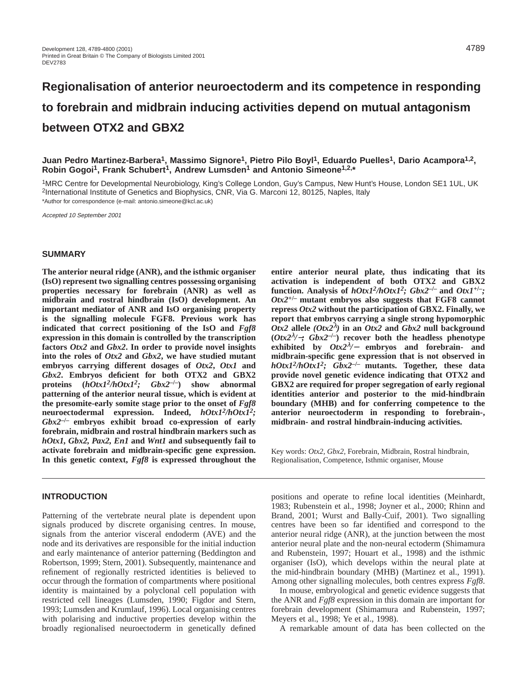# **Regionalisation of anterior neuroectoderm and its competence in responding to forebrain and midbrain inducing activities depend on mutual antagonism between OTX2 and GBX2**

**Juan Pedro Martinez-Barbera1, Massimo Signore1, Pietro Pilo Boyl1, Eduardo Puelles1, Dario Acampora1,2, Robin Gogoi1, Frank Schubert1, Andrew Lumsden1 and Antonio Simeone1,2,\***

1MRC Centre for Developmental Neurobiology, King's College London, Guy's Campus, New Hunt's House, London SE1 1UL, UK 2International Institute of Genetics and Biophysics, CNR, Via G. Marconi 12, 80125, Naples, Italy \*Author for correspondence (e-mail: antonio.simeone@kcl.ac.uk)

Accepted 10 September 2001

#### **SUMMARY**

**The anterior neural ridge (ANR), and the isthmic organiser (IsO) represent two signalling centres possessing organising properties necessary for forebrain (ANR) as well as midbrain and rostral hindbrain (IsO) development. An important mediator of ANR and IsO organising property is the signalling molecule FGF8. Previous work has indicated that correct positioning of the IsO and** *Fgf8* **expression in this domain is controlled by the transcription factors** *Otx2* **and** *Gbx2***. In order to provide novel insights into the roles of** *Otx2* **and** *Gbx2***, we have studied mutant embryos carrying different dosages of** *Otx2***,** *Otx1* **and** *Gbx2***. Embryos deficient for both OTX2 and GBX2 proteins (***hOtx12/hOtx12; Gbx2***–/–) show abnormal patterning of the anterior neural tissue, which is evident at the presomite-early somite stage prior to the onset of** *Fgf8* **neuroectodermal expression. Indeed,** *hOtx12/hOtx12; Gbx2***–/– embryos exhibit broad co-expression of early forebrain, midbrain and rostral hindbrain markers such as** *hOtx1, Gbx2, Pax2, En1* **and** *Wnt1* **and subsequently fail to activate forebrain and midbrain-specific gene expression. In this genetic context,** *Fgf8* **is expressed throughout the**

#### **INTRODUCTION**

Patterning of the vertebrate neural plate is dependent upon signals produced by discrete organising centres. In mouse, signals from the anterior visceral endoderm (AVE) and the node and its derivatives are responsible for the initial induction and early maintenance of anterior patterning (Beddington and Robertson, 1999; Stern, 2001). Subsequently, maintenance and refinement of regionally restricted identities is believed to occur through the formation of compartments where positional identity is maintained by a polyclonal cell population with restricted cell lineages (Lumsden, 1990; Figdor and Stern, 1993; Lumsden and Krumlauf, 1996). Local organising centres with polarising and inductive properties develop within the broadly regionalised neuroectoderm in genetically defined

**entire anterior neural plate, thus indicating that its activation is independent of both OTX2 and GBX2** function. Analysis of  $hOtx1^2/hOtx1^2$ ;  $Gbx2^{-/-}$  and  $Otx1^{+/-}$ ; *Otx2***+/– mutant embryos also suggests that FGF8 cannot repress** *Otx2* **without the participation of GBX2. Finally, we report that embryos carrying a single strong hypomorphic** *Otx2* allele  $(Otx2^{\lambda})$  in an *Otx2* and *Gbx2* null background **(***Otx2*<sup>λ</sup>*/*−*; Gbx2***–/–) recover both the headless phenotype exhibited by** *Otx2*<sup>λ</sup>*/*<sup>−</sup> **embryos and forebrain- and midbrain-specific gene expression that is not observed in** *hOtx12/hOtx12; Gbx2***–/– mutants. Together, these data provide novel genetic evidence indicating that OTX2 and GBX2 are required for proper segregation of early regional identities anterior and posterior to the mid-hindbrain boundary (MHB) and for conferring competence to the anterior neuroectoderm in responding to forebrain-, midbrain- and rostral hindbrain-inducing activities.**

Key words: *Otx2, Gbx2,* Forebrain, Midbrain, Rostral hindbrain, Regionalisation, Competence, Isthmic organiser, Mouse

positions and operate to refine local identities (Meinhardt, 1983; Rubenstein et al., 1998; Joyner et al., 2000; Rhinn and Brand, 2001; Wurst and Bally-Cuif, 2001). Two signalling centres have been so far identified and correspond to the anterior neural ridge (ANR), at the junction between the most anterior neural plate and the non-neural ectoderm (Shimamura and Rubenstein, 1997; Houart et al., 1998) and the isthmic organiser (IsO), which develops within the neural plate at the mid-hindbrain boundary (MHB) (Martinez et al., 1991). Among other signalling molecules, both centres express *Fgf8*.

In mouse, embryological and genetic evidence suggests that the ANR and *Fgf8* expression in this domain are important for forebrain development (Shimamura and Rubenstein, 1997; Meyers et al., 1998; Ye et al., 1998).

A remarkable amount of data has been collected on the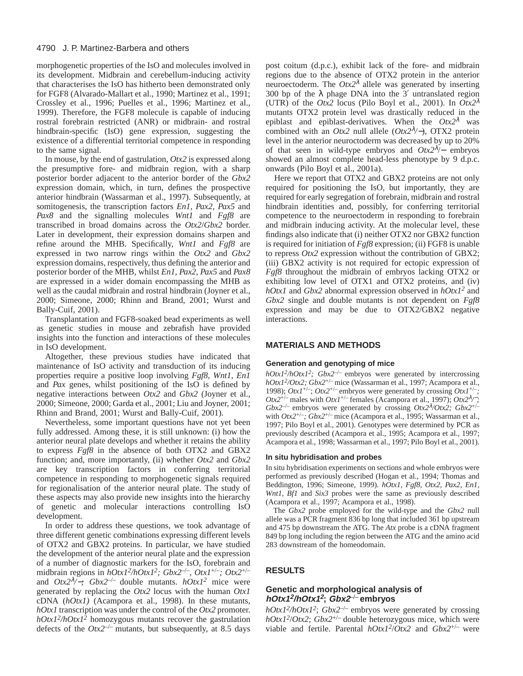morphogenetic properties of the IsO and molecules involved in its development. Midbrain and cerebellum-inducing activity that characterises the IsO has hitherto been demonstrated only for FGF8 (Alvarado-Mallart et al., 1990; Martinez et al., 1991; Crossley et al., 1996; Puelles et al., 1996; Martinez et al., 1999). Therefore, the FGF8 molecule is capable of inducing rostral forebrain restricted (ANR) or midbrain- and rostral hindbrain-specific (IsO) gene expression, suggesting the existence of a differential territorial competence in responding to the same signal.

In mouse, by the end of gastrulation, *Otx2* is expressed along the presumptive fore- and midbrain region, with a sharp posterior border adjacent to the anterior border of the *Gbx2* expression domain, which, in turn, defines the prospective anterior hindbrain (Wassarman et al., 1997). Subsequently, at somitogenesis, the transcription factors *En1*, *Pax2*, *Pax5* and *Pax8* and the signalling molecules *Wnt1* and *Fgf8* are transcribed in broad domains across the *Otx2*/*Gbx2* border. Later in development, their expression domains sharpen and refine around the MHB. Specifically, *Wnt1* and *Fgf8* are expressed in two narrow rings within the *Otx2* and *Gbx2* expression domains, respectively, thus defining the anterior and posterior border of the MHB, whilst *En1*, *Pax2*, *Pax5* and *Pax8* are expressed in a wider domain encompassing the MHB as well as the caudal midbrain and rostral hindbrain (Joyner et al., 2000; Simeone, 2000; Rhinn and Brand, 2001; Wurst and Bally-Cuif, 2001).

Transplantation and FGF8-soaked bead experiments as well as genetic studies in mouse and zebrafish have provided insights into the function and interactions of these molecules in IsO development.

Altogether, these previous studies have indicated that maintenance of IsO activity and transduction of its inducing properties require a positive loop involving *Fgf8*, *Wnt1*, *En1* and *Pax* genes, whilst positioning of the IsO is defined by negative interactions between *Otx2* and *Gbx2* (Joyner et al., 2000; Simeone, 2000; Garda et al., 2001; Liu and Joyner, 2001; Rhinn and Brand, 2001; Wurst and Bally-Cuif, 2001).

Nevertheless, some important questions have not yet been fully addressed. Among these, it is still unknown: (i) how the anterior neural plate develops and whether it retains the ability to express *Fgf8* in the absence of both OTX2 and GBX2 function; and, more importantly, (ii) whether *Otx2* and *Gbx2* are key transcription factors in conferring territorial competence in responding to morphogenetic signals required for regionalisation of the anterior neural plate. The study of these aspects may also provide new insights into the hierarchy of genetic and molecular interactions controlling IsO development.

In order to address these questions, we took advantage of three different genetic combinations expressing different levels of OTX2 and GBX2 proteins. In particular, we have studied the development of the anterior neural plate and the expression of a number of diagnostic markers for the IsO, forebrain and midbrain regions in *hOtx12/hOtx12; Gbx2*–/–, *Otx1*+/–*; Otx2*+/– and *Otx2*<sup>λ</sup>*/*−*; Gbx2*–/– double mutants. *hOtx1<sup>2</sup>* mice were generated by replacing the *Otx2* locus with the human *Otx1* cDNA (*hOtx1)* (Acampora et al., 1998). In these mutants, *hOtx1* transcription was under the control of the *Otx2* promoter.  $hOtxI^2/hOtxI^2$  homozygous mutants recover the gastrulation defects of the  $Otx2^{-/-}$  mutants, but subsequently, at 8.5 days

post coitum (d.p.c.), exhibit lack of the fore- and midbrain regions due to the absence of OTX2 protein in the anterior neuroectoderm. The  $Otx2^{\lambda}$  allele was generated by inserting 300 bp of the  $\lambda$  phage DNA into the 3' untranslated region (UTR) of the *Otx2* locus (Pilo Boyl et al., 2001). In *Otx2*<sup>λ</sup> mutants OTX2 protein level was drastically reduced in the epiblast and epiblast-derivatives. When the *Otx2*<sup>λ</sup> was combined with an *Otx2* null allele (*Otx2*<sup>λ</sup>*/*−), OTX2 protein level in the anterior neuroctoderm was decreased by up to 20% of that seen in wild-type embryos and *Otx2*<sup>λ</sup>/− embryos showed an almost complete head-less phenotype by 9 d.p.c. onwards (Pilo Boyl et al., 2001a).

Here we report that OTX2 and GBX2 proteins are not only required for positioning the IsO, but importantly, they are required for early segregation of forebrain, midbrain and rostral hindbrain identities and, possibly, for conferring territorial competence to the neuroectoderm in responding to forebrain and midbrain inducing activity. At the molecular level, these findings also indicate that (i) neither OTX2 nor GBX2 function is required for initiation of *Fgf8* expression; (ii) FGF8 is unable to repress *Otx2* expression without the contribution of GBX2; (iii) GBX2 activity is not required for ectopic expression of *Fgf8* throughout the midbrain of embryos lacking OTX2 or exhibiting low level of OTX1 and OTX2 proteins, and (iv) *hOtx1* and *Gbx2* abnormal expression observed in *hOtx1<sup>2</sup>* and *Gbx2* single and double mutants is not dependent on *Fgf8* expression and may be due to OTX2/GBX2 negative interactions.

#### **MATERIALS AND METHODS**

#### **Generation and genotyping of mice**

 $hOtxI^2/hOtxI^2$ ;  $Gbx2^{-/-}$  embryos were generated by intercrossing *hOtx12/Otx2; Gbx2*+/– mice (Wassarman et al., 1997; Acampora et al., 1998);  $OtxI^{+/-}$ ;  $Otx2^{+/-}$  embryos were generated by crossing  $OtxI^{+/-}$ ; *Otx* $2^{+/-}$  males with *Otx1<sup>+/–</sup>* females (Acampora et al., 1997); *Otx* $2^{\lambda}/\gamma$ ; *Gbx2*–/– embryos were generated by crossing *Otx2*<sup>λ</sup>*/Otx2; Gbx2*+/– with *Otx2*+/–*; Gbx2*+/– mice (Acampora et al., 1995; Wassarman et al., 1997; Pilo Boyl et al., 2001). Genotypes were determined by PCR as previously described (Acampora et al., 1995; Acampora et al., 1997; Acampora et al., 1998; Wassarman et al., 1997; Pilo Boyl et al., 2001).

#### **In situ hybridisation and probes**

In situ hybridisation experiments on sections and whole embryos were performed as previously described (Hogan et al., 1994; Thomas and Beddington, 1996; Simeone, 1999). *hOtx1, Fgf8, Otx2, Pax2, En1, Wnt1, Bf1* and *Six3* probes were the same as previously described (Acampora et al., 1997; Acampora et al., 1998).

The *Gbx2* probe employed for the wild-type and the *Gbx2* null allele was a PCR fragment 836 bp long that included 361 bp upstream and 475 bp downstream the ATG. The *Atx* probe is a cDNA fragment 849 bp long including the region between the ATG and the amino acid 283 downstream of the homeodomain.

## **RESULTS**

## **Genetic and morphological analysis of hOtx12/hOtx1<sup>2</sup>; Gbx2–/– embryos**

*hOtx12/hOtx12*; *Gbx2*–/– embryos were generated by crossing  $hOtx1^2$ */Otx2*;  $Gbx2^{+/-}$  double heterozygous mice, which were viable and fertile. Parental *hOtx12*/*Otx2* and *Gbx2*+/– were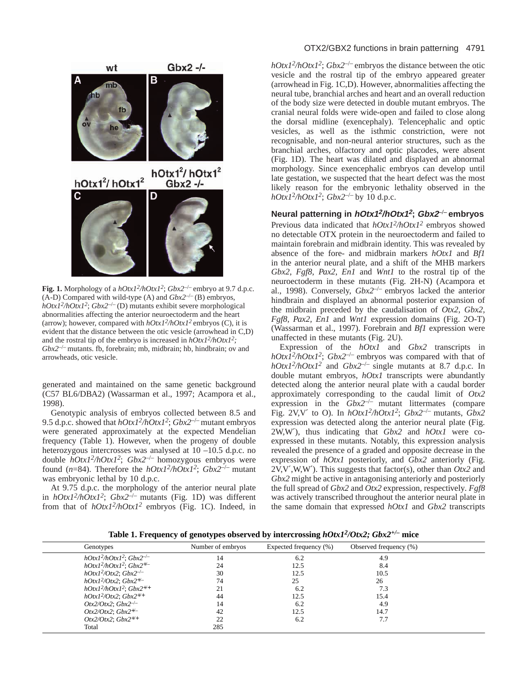

**Fig. 1.** Morphology of a  $hOtxI^2/hOtxI^2$ ;  $Gbx2^{-/-}$  embryo at 9.7 d.p.c. (A-D) Compared with wild-type (A) and *Gbx2*–/– (B) embryos, *hOtx12/hOtx12*; *Gbx2*–/– (D) mutants exhibit severe morphological abnormalities affecting the anterior neuroectoderm and the heart (arrow); however, compared with *hOtx12/hOtx12* embryos (C), it is evident that the distance between the otic vesicle (arrowhead in C,D) and the rostral tip of the embryo is increased in *hOtx12/hOtx12;*  $Gbx2^{-/-}$  mutants. fb, forebrain; mb, midbrain; hb, hindbrain; ov and arrowheads, otic vesicle.

generated and maintained on the same genetic background (C57 BL6/DBA2) (Wassarman et al., 1997; Acampora et al., 1998).

Genotypic analysis of embryos collected between 8.5 and 9.5 d.p.c. showed that *hOtx12/hOtx12*; *Gbx2*–/– mutant embryos were generated approximately at the expected Mendelian frequency (Table 1). However, when the progeny of double heterozygous intercrosses was analysed at 10 –10.5 d.p.c. no double *hOtx12/hOtx12*; *Gbx2*–/– homozygous embryos were found (*n*=84). Therefore the *hOtx12/hOtx12*; *Gbx2*–/– mutant was embryonic lethal by 10 d.p.c.

At 9.75 d.p.c. the morphology of the anterior neural plate in  $hOtx1^2/hOtx1^2$ ;  $Gbx2^{-/-}$  mutants (Fig. 1D) was different from that of *hOtx12/hOtx12* embryos (Fig. 1C). Indeed, in

# OTX2/GBX2 functions in brain patterning 4791

 $hOtx1^2/hOtx1^2$ ;  $Gbx2^{-/-}$  embryos the distance between the otic vesicle and the rostral tip of the embryo appeared greater (arrowhead in Fig. 1C,D). However, abnormalities affecting the neural tube, branchial arches and heart and an overall reduction of the body size were detected in double mutant embryos. The cranial neural folds were wide-open and failed to close along the dorsal midline (exencephaly). Telencephalic and optic vesicles, as well as the isthmic constriction, were not recognisable, and non-neural anterior structures, such as the branchial arches, olfactory and optic placodes, were absent (Fig. 1D). The heart was dilated and displayed an abnormal morphology. Since exencephalic embryos can develop until late gestation, we suspected that the heart defect was the most likely reason for the embryonic lethality observed in the *hOtx1*<sup>2</sup>*/hOtx12*; *Gbx2*–/– by 10 d.p.c.

**Neural patterning in hOtx12/hOtx1<sup>2</sup>; Gbx2–/– embryos**  Previous data indicated that *hOtx12/hOtx12* embryos showed no detectable OTX protein in the neuroectoderm and failed to maintain forebrain and midbrain identity. This was revealed by absence of the fore- and midbrain markers *hOtx1* and *Bf1* in the anterior neural plate, and a shift of the MHB markers *Gbx2*, *Fgf8*, *Pax2*, *En1* and *Wnt1* to the rostral tip of the neuroectoderm in these mutants (Fig. 2H-N) (Acampora et al., 1998). Conversely, *Gbx2*–/– embryos lacked the anterior hindbrain and displayed an abnormal posterior expansion of the midbrain preceded by the caudalisation of *Otx2*, *Gbx2, Fgf8, Pax2, En1* and *Wnt1* expression domains (Fig. 2O-T) (Wassarman et al., 1997). Forebrain and *Bf1* expression were unaffected in these mutants (Fig. 2U).

Expression of the *hOtx1* and *Gbx2* transcripts in *hOtx12/hOtx12*; *Gbx2*–/– embryos was compared with that of *hOtx12/hOtx12* and *Gbx2*–/– single mutants at 8.7 d.p.c. In double mutant embryos, *hOtx1* transcripts were abundantly detected along the anterior neural plate with a caudal border approximately corresponding to the caudal limit of *Otx2* expression in the *Gbx2*–/– mutant littermates (compare Fig. 2V,V' to O). In  $hOtx1^2/hOtx1^2$ ;  $Gbx2^{-/-}$  mutants,  $Gbx2$ expression was detected along the anterior neural plate (Fig. 2W,W′), thus indicating that *Gbx2* and *hOtx1* were coexpressed in these mutants. Notably, this expression analysis revealed the presence of a graded and opposite decrease in the expression of *hOtx1* posteriorly, and *Gbx2* anteriorly (Fig. 2V,V′,W,W′). This suggests that factor(s), other than *Otx2* and *Gbx2* might be active in antagonising anteriorly and posteriorly the full spread of *Gbx2* and *Otx2* expression, respectively*. Fgf8* was actively transcribed throughout the anterior neural plate in the same domain that expressed *hOtx1* and *Gbx2* transcripts

**Table 1. Frequency of genotypes observed by intercrossing** *hOtx12/Otx2; Gbx2+/–* **mice**

| Genotypes                        | Number of embryos | Expected frequency (%) | Observed frequency (%) |  |
|----------------------------------|-------------------|------------------------|------------------------|--|
| $hOtxI^2/hOtxI^2$ ; $Gbx2^{-/-}$ | 14                | 6.2                    | 4.9                    |  |
| $hOtxI^2/hOtxI^2$ ; $Gbx2^{+/-}$ | 24                | 12.5                   | 8.4                    |  |
| $hOtx1^2/Otx2$ ; $Gbx2^{-/-}$    | 30                | 12.5                   | 10.5                   |  |
| $hOtx1^2/Otx2$ ; $Gbx2^{+/-}$    | 74                | 25                     | 26                     |  |
| $hOtxI^2/hOtxI^2$ ; $Gbx2^{+/+}$ | 21                | 6.2                    |                        |  |
| $hOtx1^2/Otx2$ ; $Gbx2^{+/+}$    | 44                | 12.5                   | 15.4                   |  |
| $Otx2/Otx2$ ; $Gbx2^{-/-}$       | 14                | 6.2                    | 4.9                    |  |
| $Otx2/Otx2$ ; $Gbx2^{+/-}$       | 42                | 12.5                   | 14.7                   |  |
| $Otx2/Otx2$ ; $Gbx2^{+/+}$       | 22                | 6.2                    | 7.7                    |  |
| Total                            | 285               |                        |                        |  |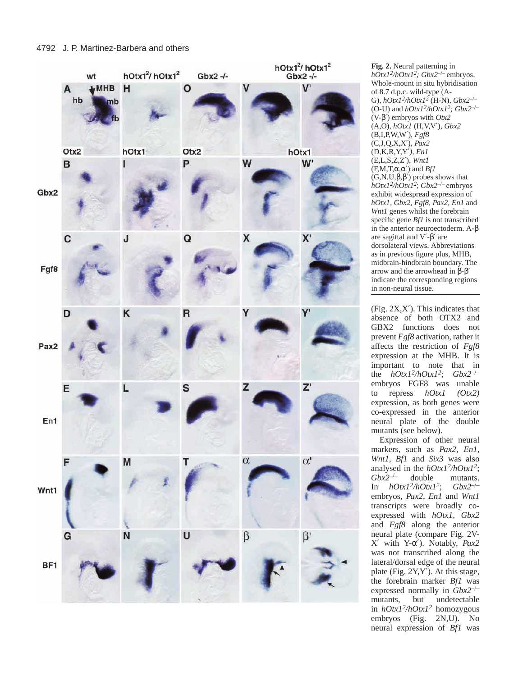

**Fig. 2.** Neural patterning in *hOtx1 2/hOtx1 2; Gbx2*–/– embryos. Whole-mount in situ hybridisation of 8.7 d.p.c. wild-type (A-G), *hOtx12/hOtx12* (H-N), *Gbx2*–/– (O-U) and *hOtx1 2/hOtx1 2; Gbx2*–/– (V-β′) embryos with *Otx2* (A,O), *hOtx1* (H,V,V ′), *Gbx2* (B,I,P,W,W ′), *Fgf8* (C,J,Q,X,X ′), *Pax2* (D,K,R,Y,Y ′*), En1* (E,L,S,Z,Z ′), *Wnt1*  $(F, M, T, \alpha, \alpha')$  and *Bf1*  $(G, N, U, \beta, \beta')$  probes shows that *hOtx1 2/hOtx1 <sup>2</sup>*; *Gbx2*–/– embryos exhibit widespread expression of *hOtx1, Gbx2, Fgf8, Pax2, En1* and *Wnt1* genes whilst the forebrain specific gene *Bf1* is not transcribed in the anterior neuroectoderm. A-β are sagittal and V ′ -β′ are dorsolateral views. Abbreviations as in previous figure plus, MHB, midbrain-hindbrain boundary. The arrow and the arrowhead in  $β$ -β' indicate the corresponding regions in non-neural tissue.

(Fig. 2X,X ′). This indicates that absence of both OTX2 and GBX2 functions does not prevent *Fgf8* activation, rather it affects the restriction of *Fgf8* expression at the MHB. It is important to note that in the *hOtx1 2/hOtx1*  $Gbx2^{-/-}$ embryos FGF8 was unable to repress *hOtx1 (Otx2)* expression, as both genes were co-expressed in the anterior neural plate of the double mutants (see below).

Expression of other neural markers, such as *Pax2*, *En1* , *Wnt1*, *Bf1* and *Six3* was also analysed in the  $hOtxI^2/hOtxI^2$ ; *Gbx2*–/– double mutants. In *hOtx1 2/hOtx1*  $Gbx2^{-/-}$ embryos, *Pax2*, *En1* and *Wnt1* transcripts were broadly coexpressed with *hOtx1, Gbx2* and *Fgf8* along the anterior neural plate (compare Fig. 2V- X′ with Y-α′). Notably, *Pax2* was not transcribed along the lateral/dorsal edge of the neural plate (Fig. 2Y,Y ′). At this stage, the forebrain marker *Bf1* was expressed normally in *Gbx2<sup>-/-</sup>*<br>mutants, but undetectable mutants, but in *hOtx1 2/hOtx1 <sup>2</sup>* homozygous embryos (Fig. 2N,U). No neural expression of *Bf1* was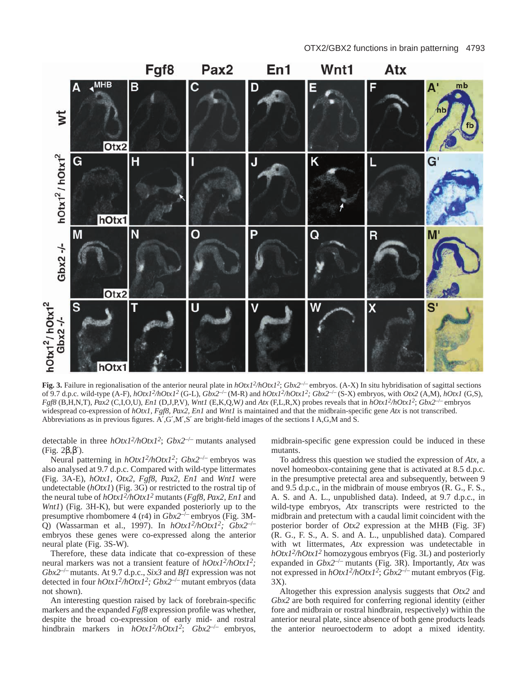

**Fig. 3.** Failure in regionalisation of the anterior neural plate in  $hOtxI^2hOtxI^2$ ;  $Gbx2^{-/-}$  embryos. (A-X) In situ hybridisation of sagittal sections of 9.7 d.p.c. wild-type (A-F),  $hOtx1^2/hOtx1^2$  (G-L),  $Gbx2^{-/-}$  (M-R) and  $hOtx1^2/hOtx1^2$ ;  $Gbx2^{-/-}$  (S-X) embryos, with  $Otx2$  (A,M),  $hOtx1$  (G,S), *Fgf8* (B,H,N,T), *Pax2* (C,I,O,U), *En1* (D,J,P,V), *Wnt1* (E,K,Q,W*)* and *Atx* (F,L,R,X) probes reveals that in *hOtx12/hOtx12*; *Gbx2*–/– embryos widespread co-expression of *hOtx1, Fgf8, Pax2, En1* and *Wnt1* is maintained and that the midbrain-specific gene *Atx* is not transcribed. Abbreviations as in previous figures. A′,G′,M′,S′ are bright-field images of the sections I A,G,M and S.

detectable in three *hOtx12/hOtx12*; *Gbx2*–/– mutants analysed (Fig. 2β,β′).

Neural patterning in *hOtx12/hOtx12; Gbx2*–/– embryos was also analysed at 9.7 d.p.c. Compared with wild-type littermates (Fig. 3A-E), *hOtx1, Otx2, Fgf8, Pax2, En1* and *Wnt1* were undetectable (*hOtx1*) (Fig. 3G) or restricted to the rostral tip of the neural tube of *hOtx12/hOtx12* mutants (*Fgf8, Pax2, En1* and *Wnt1*) (Fig. 3H-K), but were expanded posteriorly up to the presumptive rhombomere 4 (r4) in *Gbx2*–/– embryos (Fig. 3M-Q) (Wassarman et al., 1997). In *hOtx12/hOtx12; Gbx2*–/– embryos these genes were co-expressed along the anterior neural plate (Fig. 3S-W).

Therefore, these data indicate that co-expression of these neural markers was not a transient feature of *hOtx12/hOtx12; Gbx2*–/– mutants. At 9.7 d.p.c., *Six3* and *Bf1* expression was not detected in four *hOtx12/hOtx12; Gbx2*–/– mutant embryos (data not shown).

An interesting question raised by lack of forebrain-specific markers and the expanded *Fgf8* expression profile was whether, despite the broad co-expression of early mid- and rostral hindbrain markers in *hOtx12/hOtx12*; *Gbx2*–/– embryos, midbrain-specific gene expression could be induced in these mutants.

To address this question we studied the expression of *Atx*, a novel homeobox-containing gene that is activated at 8.5 d.p.c. in the presumptive pretectal area and subsequently, between 9 and 9.5 d.p.c., in the midbrain of mouse embryos (R. G., F. S., A. S. and A. L., unpublished data). Indeed, at 9.7 d.p.c., in wild-type embryos, *Atx* transcripts were restricted to the midbrain and pretectum with a caudal limit coincident with the posterior border of *Otx2* expression at the MHB (Fig. 3F) (R. G., F. S., A. S. and A. L., unpublished data). Compared with wt littermates, *Atx* expression was undetectable in *hOtx12/hOtx12* homozygous embryos (Fig. 3L) and posteriorly expanded in *Gbx*2<sup>-/-</sup> mutants (Fig. 3R). Importantly, *Atx* was not expressed in *hOtx12/hOtx12*; *Gbx2*–/– mutant embryos (Fig. 3X).

Altogether this expression analysis suggests that *Otx2* and *Gbx2* are both required for conferring regional identity (either fore and midbrain or rostral hindbrain, respectively) within the anterior neural plate, since absence of both gene products leads the anterior neuroectoderm to adopt a mixed identity.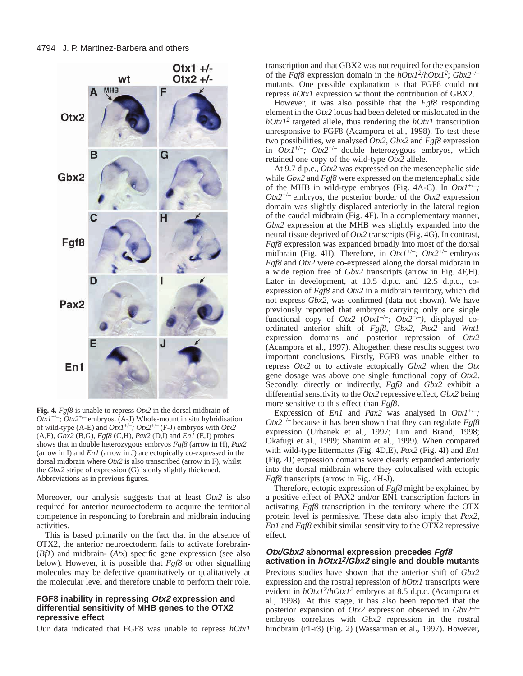

**Fig. 4.** *Fgf8* is unable to repress *Otx2* in the dorsal midbrain of  $OtxI^{+/-}$ ;  $Otx2^{+/-}$  embryos. (A-J) Whole-mount in situ hybridisation of wild-type (A-E) and *Otx1*+/–*; Otx2*+/– (F-J) embryos with *Otx2* (A,F), *Gbx2* (B,G), *Fgf8* (C,H), *Pax2* (D,I) and *En1* (E,J) probes shows that in double heterozygous embryos *Fgf8* (arrow in H), *Pax2* (arrow in I) and *En1* (arrow in J) are ectopically co-expressed in the dorsal midbrain where *Otx2* is also transcribed (arrow in F), whilst the *Gbx2* stripe of expression (G) is only slightly thickened. Abbreviations as in previous figures.

Moreover, our analysis suggests that at least *Otx2* is also required for anterior neuroectoderm to acquire the territorial competence in responding to forebrain and midbrain inducing activities.

This is based primarily on the fact that in the absence of OTX2, the anterior neuroectoderm fails to activate forebrain- (*Bf1*) and midbrain- (*Atx*) specific gene expression (see also below). However, it is possible that *Fgf8* or other signalling molecules may be defective quantitatively or qualitatively at the molecular level and therefore unable to perform their role.

## **FGF8 inability in repressing Otx2 expression and differential sensitivity of MHB genes to the OTX2 repressive effect**

Our data indicated that FGF8 was unable to repress *hOtx1*

transcription and that GBX2 was not required for the expansion of the *Fgf8* expression domain in the *hOtx12/hOtx12*; *Gbx2*–/– mutants. One possible explanation is that FGF8 could not repress *hOtx1* expression without the contribution of GBX2.

However, it was also possible that the *Fgf8* responding element in the *Otx2* locus had been deleted or mislocated in the  $hOtxI<sup>2</sup>$  targeted allele, thus rendering the  $hOtxI$  transcription unresponsive to FGF8 (Acampora et al., 1998). To test these two possibilities, we analysed *Otx2*, *Gbx2* and *Fgf8* expression in *Otx1*+/–*; Otx2*+/– double heterozygous embryos, which retained one copy of the wild-type *Otx2* allele.

At 9.7 d.p.c., *Otx2* was expressed on the mesencephalic side while *Gbx2* and *Fgf8* were expressed on the metencephalic side of the MHB in wild-type embryos (Fig. 4A-C). In *Otx1*+/–*; Otx2*+/– embryos, the posterior border of the *Otx2* expression domain was slightly displaced anteriorly in the lateral region of the caudal midbrain (Fig. 4F). In a complementary manner, *Gbx2* expression at the MHB was slightly expanded into the neural tissue deprived of *Otx2* transcripts (Fig. 4G). In contrast, *Fgf8* expression was expanded broadly into most of the dorsal midbrain (Fig. 4H). Therefore, in *Otx1*+/–*; Otx2*+/– embryos *Fgf8* and *Otx2* were co-expressed along the dorsal midbrain in a wide region free of *Gbx2* transcripts (arrow in Fig. 4F,H). Later in development, at 10.5 d.p.c. and 12.5 d.p.c., coexpression of *Fgf8* and *Otx2* in a midbrain territory, which did not express *Gbx2*, was confirmed (data not shown). We have previously reported that embryos carrying only one single functional copy of  $Otx2$   $(Otx1^{-/-}$ ;  $Otx2^{+/-}$ ), displayed coordinated anterior shift of *Fgf8*, *Gbx2*, *Pax2* and *Wnt1* expression domains and posterior repression of *Otx2* (Acampora et al., 1997). Altogether, these results suggest two important conclusions. Firstly, FGF8 was unable either to repress *Otx2* or to activate ectopically *Gbx2* when the *Otx* gene dosage was above one single functional copy of *Otx2*. Secondly, directly or indirectly, *Fgf8* and *Gbx2* exhibit a differential sensitivity to the *Otx2* repressive effect, *Gbx2* being more sensitive to this effect than *Fgf8*.

Expression of *En1* and *Pax2* was analysed in  $Otx1^{+/-}$ ; *Otx2*+/– because it has been shown that they can regulate *Fgf8* expression (Urbanek et al., 1997; Lun and Brand, 1998; Okafugi et al., 1999; Shamim et al., 1999)*.* When compared with wild-type littermate*s (*Fig. 4D,E), *Pax2* (Fig. 4I) and *En1* (Fig. 4J) expression domains were clearly expanded anteriorly into the dorsal midbrain where they colocalised with ectopic *Fgf8* transcripts (arrow in Fig. 4H-J).

Therefore, ectopic expression of *Fgf8* might be explained by a positive effect of PAX2 and/or EN1 transcription factors in activating *Fgf8* transcription in the territory where the OTX protein level is permissive. These data also imply that *Pax2*, *En1* and *Fgf8* exhibit similar sensitivity to the OTX2 repressive effect*.*

#### **Otx/Gbx2 abnormal expression precedes Fgf8 activation in hOtx12/Gbx2 single and double mutants**

Previous studies have shown that the anterior shift of *Gbx2* expression and the rostral repression of *hOtx1* transcripts were evident in *hOtx12*/*hOtx12* embryos at 8.5 d.p.c. (Acampora et al., 1998). At this stage, it has also been reported that the posterior expansion of *Otx2* expression observed in *Gbx2*–/– embryos correlates with *Gbx2* repression in the rostral hindbrain (r1-r3) (Fig. 2) (Wassarman et al., 1997). However,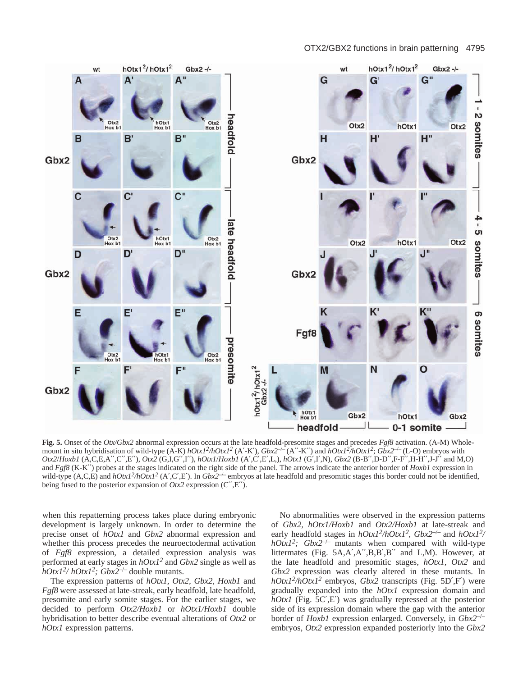

**Fig. 5.** Onset of the *Otx/Gbx2* abnormal expression occurs at the late headfold-presomite stages and precedes *Fgf8* activation. (A-M) Wholemount in situ hybridisation of wild-type  $(A-K)$  *hOtx1<sup>2</sup>/hOtx1<sup>2</sup> (A'-K')*,  $Gbx2^{-/-}(A''-K'')$  and  $hOtx1^2/hOtx1^2$ ;  $Gbx2^{-/-}(L-O)$  embryos with *Otx2*/*Hoxb1* (A,C,E,A′′,C′′,E′′), *Otx2* (G,I,G′′,I′′), *hOtx1*/*Hoxb1* (A′,C′,E′,L,), *hOtx1* (G′,I′,N), *Gbx2* (B-B′′,D-D′′,F-F′′,H-H′′,J-J′′ and M,O) and *Fgf8* (K-K′′) probes at the stages indicated on the right side of the panel. The arrows indicate the anterior border of *Hoxb1* expression in wild-type (A,C,E) and  $hOtxI^2/hOtxI^2$  (A',C',E'). In *Gbx2<sup>-/</sup>* embryos at late headfold and presomitic stages this border could not be identified, being fused to the posterior expansion of *Otx2* expression (C′′,E′′).

when this repatterning process takes place during embryonic development is largely unknown. In order to determine the precise onset of *hOtx1* and *Gbx2* abnormal expression and whether this process precedes the neuroectodermal activation of *Fgf8* expression, a detailed expression analysis was performed at early stages in *hOtx12* and *Gbx2* single as well as *hOtx12/ hOtx12; Gbx2*–/– double mutants.

The expression patterns of *hOtx1*, *Otx2, Gbx2, Hoxb1* and *Fgf8* were assessed at late-streak, early headfold, late headfold, presomite and early somite stages. For the earlier stages, we decided to perform *Otx2/Hoxb1* or *hOtx1/Hoxb1* double hybridisation to better describe eventual alterations of *Otx2* or *hOtx1* expression patterns.

No abnormalities were observed in the expression patterns of *Gbx2, hOtx1/Hoxb1* and *Otx2/Hoxb1* at late-streak and early headfold stages in  $hOtxI^2/hOtxI^2$ ,  $Gbx2^{-/-}$  and  $hOtxI^2/$ *hOtx12; Gbx2*–/– mutants when compared with wild-type littermates (Fig. 5A,A′,A′′,B,B′,B′′ and L,M). However, at the late headfold and presomitic stages, *hOtx1, Otx2* and *Gbx2* expression was clearly altered in these mutants. In *hOtx12/hOtx12* embryos, *Gbx2* transcripts (Fig. 5D′,F′) were gradually expanded into the *hOtx1* expression domain and *hOtx1* (Fig. 5C',E') was gradually repressed at the posterior side of its expression domain where the gap with the anterior border of *Hoxb1* expression enlarged. Conversely, in *Gbx2*–/– embryos, *Otx2* expression expanded posteriorly into the *Gbx2*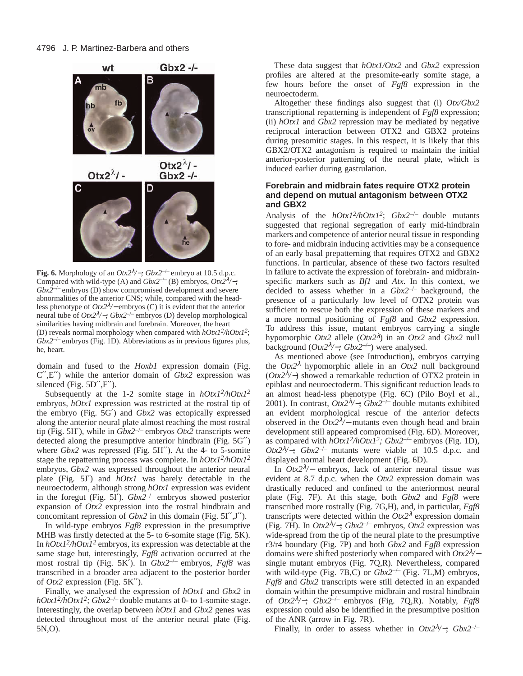![](_page_7_Figure_1.jpeg)

**Fig. 6.** Morphology of an  $Otx2^{\lambda}/\text{–}$ ;  $Gbx2^{-/-}$  embryo at 10.5 d.p.c. Compared with wild-type (A) and  $Gbx2^{-/-}$  (B) embryos,  $Otx2^{\lambda}/\rightarrow$ ; *Gbx2*–/– embryos (D) show compromised development and severe abnormalities of the anterior CNS; while, compared with the headless phenotype of *Otx2*<sup>λ</sup>*/*<sup>−</sup> embryos (C) it is evident that the anterior neural tube of *Otx2*<sup>λ</sup>*/*−*; Gbx2*–/– embryos (D) develop morphological similarities having midbrain and forebrain. Moreover, the heart (D) reveals normal morphology when compared with *hOtx12/hOtx12*; *Gbx2*–/– embryos (Fig. 1D). Abbreviations as in previous figures plus, he, heart.

domain and fused to the *Hoxb1* expression domain (Fig. C′′,E′′) while the anterior domain of *Gbx2* expression was silenced (Fig.  $5D''$ , F'').

Subsequently at the 1-2 somite stage in *hOtx12/hOtx12* embryos*, hOtx1* expression was restricted at the rostral tip of the embryo (Fig. 5G′) and *Gbx2* was ectopically expressed along the anterior neural plate almost reaching the most rostral tip (Fig. 5H′), while in *Gbx2*–/– embryos *Otx2* transcripts were detected along the presumptive anterior hindbrain (Fig. 5G′′) where *Gbx2* was repressed (Fig. 5H′′). At the 4- to 5-somite stage the repatterning process was complete. In *hOtx12/hOtx12* embryos, *Gbx2* was expressed throughout the anterior neural plate (Fig. 5J′) and *hOtx1* was barely detectable in the neuroectoderm, although strong *hOtx1* expression was evident in the foregut (Fig. 5I').  $Gbx2^{-/-}$  embryos showed posterior expansion of *Otx2* expression into the rostral hindbrain and concomitant repression of *Gbx2* in this domain (Fig. 5I′′,J′′).

In wild-type embryos *Fgf8* expression in the presumptive MHB was firstly detected at the 5- to 6-somite stage (Fig. 5K). In *hOtx12/hOtx12* embryos, its expression was detectable at the same stage but, interestingly, *Fgf8* activation occurred at the most rostral tip (Fig. 5K′). In *Gbx2*–/– embryos, *Fgf8* was transcribed in a broader area adjacent to the posterior border of *Otx2* expression (Fig. 5K′′).

Finally, we analysed the expression of *hOtx1* and *Gbx2* in *hOtx12/hOtx12; Gbx2*–/– double mutants at 0- to 1-somite stage. Interestingly, the overlap between *hOtx1* and *Gbx2* genes was detected throughout most of the anterior neural plate (Fig. 5N,O).

These data suggest that *hOtx1/Otx2* and *Gbx2* expression profiles are altered at the presomite-early somite stage, a few hours before the onset of *Fgf8* expression in the neuroectoderm.

Altogether these findings also suggest that (i) *Otx/Gbx2* transcriptional repatterning is independent of *Fgf8* expression; (ii) *hOtx1* and *Gbx2* repression may be mediated by negative reciprocal interaction between OTX2 and GBX2 proteins during presomitic stages. In this respect, it is likely that this GBX2/OTX2 antagonism is required to maintain the initial anterior-posterior patterning of the neural plate, which is induced earlier during gastrulation*.*

## **Forebrain and midbrain fates require OTX2 protein and depend on mutual antagonism between OTX2 and GBX2**

Analysis of the  $hOtxI^2/hOtxI^2$ ;  $Gbx2^{-/-}$  double mutants suggested that regional segregation of early mid-hindbrain markers and competence of anterior neural tissue in responding to fore- and midbrain inducing activities may be a consequence of an early basal prepatterning that requires OTX2 and GBX2 functions. In particular, absence of these two factors resulted in failure to activate the expression of forebrain- and midbrainspecific markers such as *Bf1* and *Atx*. In this context, we decided to assess whether in a *Gbx2*–/– background, the presence of a particularly low level of OTX2 protein was sufficient to rescue both the expression of these markers and a more normal positioning of *Fgf8* and *Gbx2* expression. To address this issue, mutant embryos carrying a single hypomorphic *Otx2* allele (*Otx2*<sup>λ</sup>) in an *Otx2* and *Gbx2* null background (*Otx2*<sup>λ</sup>*/*−*; Gbx2*–/–) were analysed.

As mentioned above (see Introduction), embryos carrying the *Otx2*<sup>λ</sup> hypomorphic allele in an *Otx2* null background (*Otx2*<sup>λ</sup>*/*−) showed a remarkable reduction of OTX2 protein in epiblast and neuroectoderm. This significant reduction leads to an almost head-less phenotype (Fig. 6C) (Pilo Boyl et al., 2001). In contrast, *Otx2*<sup>λ</sup>∕−; *Gbx2<sup>-/−</sup>* double mutants exhibited an evident morphological rescue of the anterior defects observed in the *Otx2*<sup>λ</sup>*/*<sup>−</sup> mutants even though head and brain development still appeared compromised (Fig. 6D). Moreover, as compared with  $hOtx1^2/hOtx1^2$ ;  $Gbx2^{-/-}$  embryos (Fig. 1D), *Otx2*<sup>λ</sup>⁄−; *Gbx2<sup>-/–</sup>* mutants were viable at 10.5 d.p.c. and displayed normal heart development (Fig. 6D).

In *Otx2*<sup>λ</sup>*/*<sup>−</sup> embryos, lack of anterior neural tissue was evident at 8.7 d.p.c. when the *Otx2* expression domain was drastically reduced and confined to the anteriormost neural plate (Fig. 7F). At this stage, both *Gbx2* and *Fgf8* were transcribed more rostrally (Fig. 7G,H), and, in particular, *Fgf8* transcripts were detected within the  $Otx2^{\lambda}$  expression domain (Fig. 7H). In *Otx2*<sup>λ</sup>*/*−; *Gbx2*–/– embryos, *Otx2* expression was wide-spread from the tip of the neural plate to the presumptive r3/r4 boundary (Fig. 7P) and both *Gbx2* and *Fgf8* expression domains were shifted posteriorly when compared with *Otx2*<sup>λ</sup>*/*<sup>−</sup> single mutant embryos (Fig. 7Q,R). Nevertheless, compared with wild-type (Fig. 7B,C) or *Gbx2*–/– (Fig. 7L,M) embryos, *Fgf8* and *Gbx2* transcripts were still detected in an expanded domain within the presumptive midbrain and rostral hindbrain of *Otx2*<sup>λ</sup>*/*−; *Gbx2*–/– embryos (Fig. 7Q,R). Notably, *Fgf8* expression could also be identified in the presumptive position of the ANR (arrow in Fig. 7R).

Finally, in order to assess whether in *Otx2*<sup>λ</sup>*/*−; *Gbx2*–/–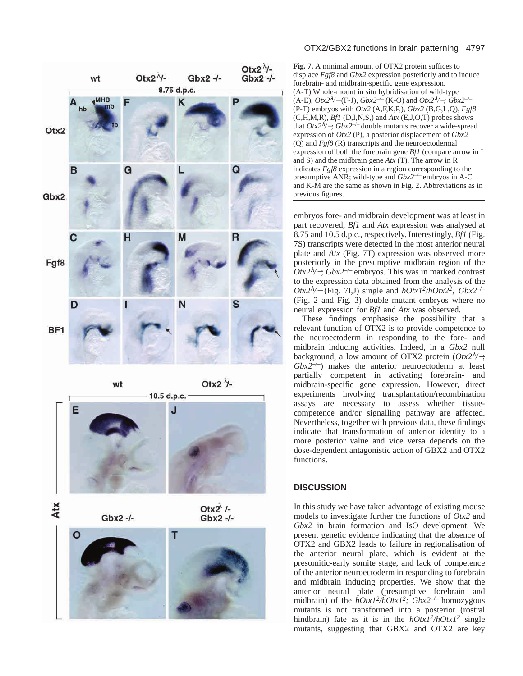![](_page_8_Figure_0.jpeg)

![](_page_8_Picture_2.jpeg)

Atx

 $Gbx2 -/-$ 

Otx $2^k$  /- $Gbx2 -1$ 

![](_page_8_Picture_5.jpeg)

#### OTX2/GBX2 functions in brain patterning 4797

**Fig. 7.** A minimal amount of OTX2 protein suffices to displace *Fgf8* and *Gbx2* expression posteriorly and to induce forebrain- and midbrain-specific gene expression. (A-T) Whole-mount in situ hybridisation of wild-type (A-E), *Otx2*<sup>λ</sup>*/*<sup>−</sup> (F-J), *Gbx2*–/– (K-O) and *Otx2*<sup>λ</sup>*/*−*; Gbx2*–/– (P-T) embryos with *Otx2* (A,F,K,P,), *Gbx2* (B,G,L,Q), *Fgf8* (C,H,M,R), *Bf1* (D,I,N,S,) and *Atx* (E,J,O,T) probes shows that *Otx2*<sup>λ</sup>*/*−*; Gbx2*–/– double mutants recover a wide-spread expression of *Otx2* (P), a posterior displacement of *Gbx2* (Q) and *Fgf8* (R) transcripts and the neuroectodermal expression of both the forebrain gene *Bf1* (compare arrow in I and S) and the midbrain gene *Atx* (T). The arrow in R indicates *Fgf8* expression in a region corresponding to the presumptive ANR; wild-type and *Gbx2*–/– embryos in A-C and K-M are the same as shown in Fig. 2. Abbreviations as in previous figures.

embryos fore- and midbrain development was at least in part recovered, *Bf1* and *Atx* expression was analysed at 8.75 and 10.5 d.p.c., respectively. Interestingly, *Bf1* (Fig. 7S) transcripts were detected in the most anterior neural plate and *Atx* (Fig. 7T) expression was observed more posteriorly in the presumptive midbrain region of the *Otx2*<sup>λ</sup>*/*−; *Gbx2*–/– embryos. This was in marked contrast to the expression data obtained from the analysis of the *Otx2*<sup>λ</sup>*/*<sup>−</sup> (Fig. 7I,J) single and *hOtx12/hOtx22; Gbx2*–/– (Fig. 2 and Fig. 3) double mutant embryos where no neural expression for *Bf1* and *Atx* was observed.

These findings emphasise the possibility that a relevant function of OTX2 is to provide competence to the neuroectoderm in responding to the fore- and midbrain inducing activities. Indeed, in a *Gbx2* null background, a low amount of OTX2 protein (*Otx2*<sup>λ</sup>*/*−; *Gbx2*–/–) makes the anterior neuroectoderm at least partially competent in activating forebrain- and midbrain-specific gene expression. However, direct experiments involving transplantation/recombination assays are necessary to assess whether tissuecompetence and/or signalling pathway are affected. Nevertheless, together with previous data, these findings indicate that transformation of anterior identity to a more posterior value and vice versa depends on the dose-dependent antagonistic action of GBX2 and OTX2 functions.

## **DISCUSSION**

In this study we have taken advantage of existing mouse models to investigate further the functions of *Otx2* and *Gbx2* in brain formation and IsO development. We present genetic evidence indicating that the absence of OTX2 and GBX2 leads to failure in regionalisation of the anterior neural plate, which is evident at the presomitic-early somite stage, and lack of competence of the anterior neuroectoderm in responding to forebrain and midbrain inducing properties. We show that the anterior neural plate (presumptive forebrain and midbrain) of the *hOtx12/hOtx12; Gbx2*–/– homozygous mutants is not transformed into a posterior (rostral hindbrain) fate as it is in the  $hOtxI^2/hOtxI^2$  single mutants, suggesting that GBX2 and OTX2 are key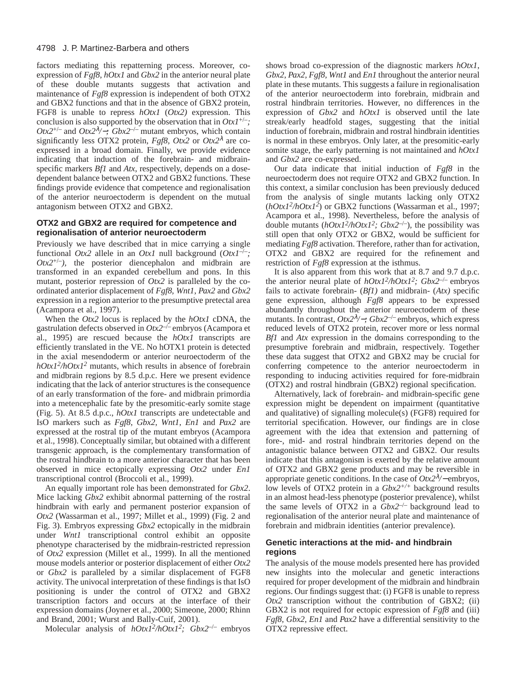factors mediating this repatterning process. Moreover, coexpression of *Fgf8*, *hOtx1* and *Gbx2* in the anterior neural plate of these double mutants suggests that activation and maintenance of *Fgf8* expression is independent of both OTX2 and GBX2 functions and that in the absence of GBX2 protein, FGF8 is unable to repress *hOtx1* (*Otx2)* expression. This conclusion is also supported by the observation that in  $Otx1^{+/-}$ ; *Otx2*+/– and *Otx2*<sup>λ</sup>*/*−*; Gbx2*–/– mutant embryos, which contain significantly less OTX2 protein, *Fgf8*, *Otx*2 or *Otx* $2^{\lambda}$  are coexpressed in a broad domain. Finally, we provide evidence indicating that induction of the forebrain- and midbrainspecific markers *Bf1* and *Atx*, respectively, depends on a dosedependent balance between OTX2 and GBX2 functions. These findings provide evidence that competence and regionalisation of the anterior neuroectoderm is dependent on the mutual antagonism between OTX2 and GBX2.

## **OTX2 and GBX2 are required for competence and regionalisation of anterior neuroectoderm**

Previously we have described that in mice carrying a single functional *Otx2* allele in an *Otx1* null background  $(OtxI^{-/-})$ ;  $Otx2^{+/-}$ ), the posterior diencephalon and midbrain are transformed in an expanded cerebellum and pons. In this mutant, posterior repression of *Otx2* is paralleled by the coordinated anterior displacement of *Fgf8*, *Wnt1*, *Pax2* and *Gbx2* expression in a region anterior to the presumptive pretectal area (Acampora et al., 1997).

When the *Otx2* locus is replaced by the *hOtx1* cDNA, the gastrulation defects observed in *Otx2*–/– embryos (Acampora et al., 1995) are rescued because the *hOtx1* transcripts are efficiently translated in the VE. No hOTX1 protein is detected in the axial mesendoderm or anterior neuroectoderm of the *hOtx12/hOtx12* mutants, which results in absence of forebrain and midbrain regions by 8.5 d.p.c. Here we present evidence indicating that the lack of anterior structures is the consequence of an early transformation of the fore- and midbrain primordia into a metencephalic fate by the presomitic-early somite stage (Fig. 5). At 8.5 d.p.c., *hOtx1* transcripts are undetectable and IsO markers such as *Fgf8*, *Gbx2*, *Wnt1*, *En1* and *Pax2* are expressed at the rostral tip of the mutant embryos (Acampora et al., 1998). Conceptually similar, but obtained with a different transgenic approach, is the complementary transformation of the rostral hindbrain to a more anterior character that has been observed in mice ectopically expressing *Otx2* under *En1* transcriptional control (Broccoli et al., 1999).

An equally important role has been demonstrated for *Gbx2*. Mice lacking *Gbx2* exhibit abnormal patterning of the rostral hindbrain with early and permanent posterior expansion of *Otx2* (Wassarman et al., 1997; Millet et al., 1999) (Fig. 2 and Fig. 3). Embryos expressing *Gbx2* ectopically in the midbrain under *Wnt1* transcriptional control exhibit an opposite phenotype characterised by the midbrain-restricted repression of *Otx2* expression (Millet et al., 1999). In all the mentioned mouse models anterior or posterior displacement of either *Otx2* or *Gbx2* is paralleled by a similar displacement of FGF8 activity. The univocal interpretation of these findings is that IsO positioning is under the control of OTX2 and GBX2 transcription factors and occurs at the interface of their expression domains (Joyner et al., 2000; Simeone, 2000; Rhinn and Brand, 2001; Wurst and Bally-Cuif, 2001).

Molecular analysis of *hOtx12/hOtx12; Gbx2*–/– embryos

shows broad co-expression of the diagnostic markers *hOtx1*, *Gbx2*, *Pax2, Fgf8, Wnt1* and *En1* throughout the anterior neural plate in these mutants. This suggests a failure in regionalisation of the anterior neuroectoderm into forebrain, midbrain and rostral hindbrain territories. However, no differences in the expression of *Gbx2* and *hOtx1* is observed until the late streak/early headfold stages, suggesting that the initial induction of forebrain, midbrain and rostral hindbrain identities is normal in these embryos. Only later, at the presomitic-early somite stage, the early patterning is not maintained and *hOtx1* and *Gbx2* are co-expressed.

Our data indicate that initial induction of *Fgf8* in the neuroectoderm does not require OTX2 and GBX2 function. In this context, a similar conclusion has been previously deduced from the analysis of single mutants lacking only OTX2 (*hOtx12/hOtx12*) or GBX2 functions (Wassarman et al., 1997; Acampora et al., 1998). Nevertheless, before the analysis of double mutants (*hOtx12/hOtx12; Gbx2*–/–)*,* the possibility was still open that only OTX2 or GBX2, would be sufficient for mediating *Fgf8* activation. Therefore, rather than for activation, OTX2 and GBX2 are required for the refinement and restriction of *Fgf8* expression at the isthmus.

It is also apparent from this work that at 8.7 and 9.7 d.p.c. the anterior neural plate of  $hOtxI^2/hOtxI^2$ ;  $Gbx2^{-/-}$  embryos fails to activate forebrain- (*Bf1)* and midbrain- (*Atx)* specific gene expression, although *Fgf8* appears to be expressed abundantly throughout the anterior neuroectoderm of these mutants. In contrast, *Otx2*<sup>λ</sup>*/*−*; Gbx2*–/– embryos, which express reduced levels of OTX2 protein, recover more or less normal *Bf1* and *Atx* expression in the domains corresponding to the presumptive forebrain and midbrain, respectively. Together these data suggest that OTX2 and GBX2 may be crucial for conferring competence to the anterior neuroectoderm in responding to inducing activities required for fore-midbrain (OTX2) and rostral hindbrain (GBX2) regional specification.

Alternatively, lack of forebrain- and midbrain-specific gene expression might be dependent on impairment (quantitative and qualitative) of signalling molecule(s) (FGF8) required for territorial specification. However, our findings are in close agreement with the idea that extension and patterning of fore-, mid- and rostral hindbrain territories depend on the antagonistic balance between OTX2 and GBX2. Our results indicate that this antagonism is exerted by the relative amount of OTX2 and GBX2 gene products and may be reversible in appropriate genetic conditions. In the case of *Otx2*<sup>λ</sup>*/*<sup>−</sup> embryos, low levels of OTX2 protein in a *Gbx2+/+* background results in an almost head-less phenotype (posterior prevalence), whilst the same levels of OTX2 in a  $Gbx2^{-/-}$  background lead to regionalisation of the anterior neural plate and maintenance of forebrain and midbrain identities (anterior prevalence).

# **Genetic interactions at the mid- and hindbrain regions**

The analysis of the mouse models presented here has provided new insights into the molecular and genetic interactions required for proper development of the midbrain and hindbrain regions. Our findings suggest that: (i) FGF8 is unable to repress *Otx2* transcription without the contribution of GBX2; (ii) GBX2 is not required for ectopic expression of *Fgf8* and (iii) *Fgf8*, *Gbx2, En1* and *Pax2* have a differential sensitivity to the OTX2 repressive effect.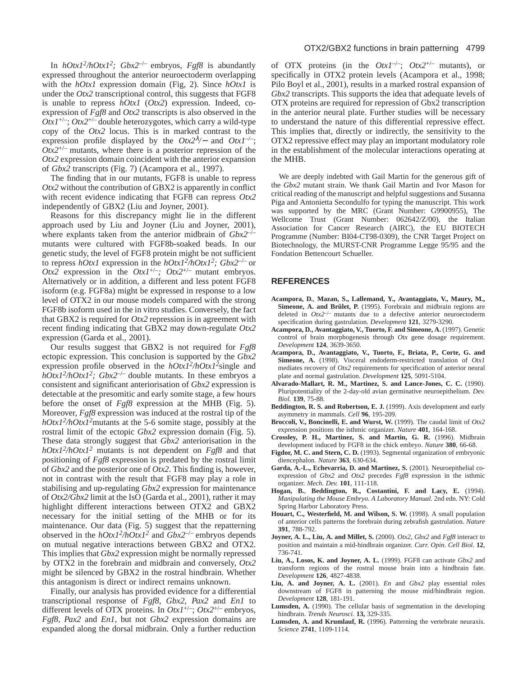In *hOtx12/hOtx12; Gbx2*–/– embryos, *Fgf8* is abundantly expressed throughout the anterior neuroectoderm overlapping with the *hOtx1* expression domain (Fig, 2). Since *hOtx1* is under the *Otx2* transcriptional control, this suggests that FGF8 is unable to repress *hOtx1* (*Otx2*) expression. Indeed, coexpression of *Fgf8* and *Otx2* transcripts is also observed in the  $OtxI^{+/-}$ ;  $Otx2^{+/-}$  double heterozygotes, which carry a wild-type copy of the *Otx2* locus. This is in marked contrast to the expression profile displayed by the  $Otx2^{\lambda}/-$  and  $Otx1^{-/-}$ ;  $Otx2^{+/}$  mutants, where there is a posterior repression of the *Otx2* expression domain coincident with the anterior expansion of *Gbx2* transcripts (Fig. 7) (Acampora et al., 1997).

The finding that in our mutants, FGF8 is unable to repress *Otx2* without the contribution of GBX2 is apparently in conflict with recent evidence indicating that FGF8 can repress *Otx2* independently of GBX2 (Liu and Joyner, 2001).

Reasons for this discrepancy might lie in the different approach used by Liu and Joyner (Liu and Joyner, 2001), where explants taken from the anterior midbrain of *Gbx2*–/– mutants were cultured with FGF8b-soaked beads. In our genetic study, the level of FGF8 protein might be not sufficient to repress *hOtx1* expression in the *hOtx12/hOtx12; Gbx2*–/– or *Otx*2 expression in the *Otx1*<sup>+/-</sup>; *Otx2*<sup>+/-</sup> mutant embryos. Alternatively or in addition, a different and less potent FGF8 isoform (e.g. FGF8a) might be expressed in response to a low level of OTX2 in our mouse models compared with the strong FGF8b isoform used in the in vitro studies. Conversely, the fact that GBX2 is required for *Otx2* repression is in agreement with recent finding indicating that GBX2 may down-regulate *Otx2* expression (Garda et al., 2001).

Our results suggest that GBX2 is not required for *Fgf8* ectopic expression. This conclusion is supported by the *Gbx2* expression profile observed in the  $hOtxI^2/hOtxI^2$  single and *hOtx12/hOtx12; Gbx2*–/– double mutants*.* In these embryos a consistent and significant anteriorisation of *Gbx2* expression is detectable at the presomitic and early somite stage, a few hours before the onset of *Fgf8* expression at the MHB (Fig. 5). Moreover, *Fgf8* expression was induced at the rostral tip of the *hOtx12/hOtx12*mutants at the 5-6 somite stage, possibly at the rostral limit of the ectopic *Gbx2* expression domain (Fig. 5). These data strongly suggest that *Gbx2* anteriorisation in the *hOtx12/hOtx12* mutants is not dependent on *Fgf8* and that positioning of *Fgf8* expression is predated by the rostral limit of *Gbx2* and the posterior one of *Otx2*. This finding is, however, not in contrast with the result that FGF8 may play a role in stabilising and up-regulating *Gbx2* expression for maintenance of *Otx2/Gbx2* limit at the IsO (Garda et al., 2001), rather it may highlight different interactions between OTX2 and GBX2 necessary for the initial setting of the MHB or for its maintenance. Our data (Fig. 5) suggest that the repatterning observed in the  $hOtx1^2/hOtx1^2$  and  $Gbx2^{-/-}$  embryos depends on mutual negative interactions between GBX2 and OTX2. This implies that *Gbx2* expression might be normally repressed by OTX2 in the forebrain and midbrain and conversely, *Otx2* might be silenced by GBX2 in the rostral hindbrain. Whether this antagonism is direct or indirect remains unknown.

Finally, our analysis has provided evidence for a differential transcriptional response of *Fgf8*, *Gbx2, Pax2* and *En1* to different levels of OTX proteins. In *Otx1*+/–; *Otx2*+/– embryos, *Fgf8, Pax2* and *En1,* but not *Gbx2* expression domains are expanded along the dorsal midbrain. Only a further reduction

of OTX proteins (in the  $OtxI^{-/-}$ ;  $Otx2^{+/-}$  mutants), or specifically in OTX2 protein levels (Acampora et al., 1998; Pilo Boyl et al., 2001), results in a marked rostral expansion of *Gbx2* transcripts. This supports the idea that adequate levels of OTX proteins are required for repression of Gbx2 transcription in the anterior neural plate. Further studies will be necessary to understand the nature of this differential repressive effect. This implies that, directly or indirectly, the sensitivity to the OTX2 repressive effect may play an important modulatory role in the establishment of the molecular interactions operating at the MHB.

We are deeply indebted with Gail Martin for the generous gift of the *Gbx2* mutant strain. We thank Gail Martin and Ivor Mason for critical reading of the manuscript and helpful suggestions and Susanna Piga and Antonietta Secondulfo for typing the manuscript. This work was supported by the MRC (Grant Number: G9900955), The Wellcome Trust (Grant Number: 062642/Z/00), the Italian Association for Cancer Research (AIRC), the EU BIOTECH Programme (Number: BI04-CT98-0309), the CNR Target Project on Biotechnology, the MURST-CNR Programme Legge 95/95 and the Fondation Bettencourt Schueller.

#### **REFERENCES**

- **Acampora, D.**, **Mazan, S., Lallemand, Y., Avantaggiato, V., Maury, M., Simeone, A. and Brûlet, P.** (1995). Forebrain and midbrain regions are deleted in *Otx2*–/– mutants due to a defective anterior neuroectoderm specification during gastrulation. *Development* **121**, 3279-3290.
- **Acampora, D., Avantaggiato, V., Tuorto, F. and Simeone, A.** (1997). Genetic control of brain morphogenesis through *Otx* gene dosage requirement. *Development* **124**, 3639-3650.
- **Acampora, D., Avantaggiato, V., Tuorto, F., Briata, P., Corte, G. and Simeone, A.** (1998). Visceral endoderm-restricted translation of *Otx1* mediates recovery of *Otx2* requirements for specification of anterior neural plate and normal gastrulation. *Development* **125**, 5091-5104.
- **Alvarado-Mallart, R. M., Martinez, S. and Lance-Jones, C. C.** (1990). Pluripotentiality of the 2-day-old avian germinative neuroepithelium. *Dev. Biol.* **139**, 75-88.
- **Beddington, R. S. and Robertson, E. J.** (1999). Axis development and early asymmetry in mammals. *Cell* **96**, 195-209.
- **Broccoli, V., Boncinelli, E. and Wurst, W.** (1999). The caudal limit of *Otx2* expression positions the isthmic organizer. *Nature* **401**, 164-168.
- **Crossley, P. H., Martinez, S. and Martin, G. R.** (1996). Midbrain development induced by FGF8 in the chick embryo. *Nature* **380**, 66-68.
- **Figdor, M. C. and Stern, C. D.** (1993). Segmental organization of embryonic diencephalon. *Nature* **363**, 630-634.
- Garda, A.-L., Echevarria, D. and Martinez, S. (2001). Neuroepithelial coexpression of *Gbx2* and *Otx2* precedes *Fgf8* expression in the isthmic organizer. *Mech. Dev.* **101**, 111-118.
- **Hogan, B.**, **Beddington, R., Costantini, F. and Lacy, E.** (1994). *Manipulating the Mouse Embryo. A Laboratory Manual.* 2nd edn. NY: Cold Spring Harbor Laboratory Press.
- **Houart, C., Westerfield, M. and Wilson, S. W.** (1998). A small population of anterior cells patterns the forebrain during zebrafish gastrulation. *Nature* **391**, 788-792.
- **Joyner, A. L., Liu, A. and Millet, S.** (2000). *Otx2*, *Gbx2* and *Fgf8* interact to position and maintain a mid-hindbrain organizer. *Curr. Opin. Cell Biol.* **12**, 736-741.
- **Liu, A., Losos, K. and Joyner, A. L.** (1999). FGF8 can activate *Gbx2* and transform regions of the rostral mouse brain into a hindbrain fate. *Development* **126**, 4827-4838.
- **Liu, A. and Joyner, A. L.** (2001). *En* and *Gbx2* play essential roles downstream of FGF8 in patterning the mouse mid/hindbrain region. *Development* **128**, 181-191.
- Lumsden, A. (1990). The cellular basis of segmentation in the developing hindbrain. *Trends Neurosci.* **13,** 329-335.
- Lumsden, A. and Krumlauf, R. (1996). Patterning the vertebrate neuraxis. *Science* **2741**, 1109-1114.